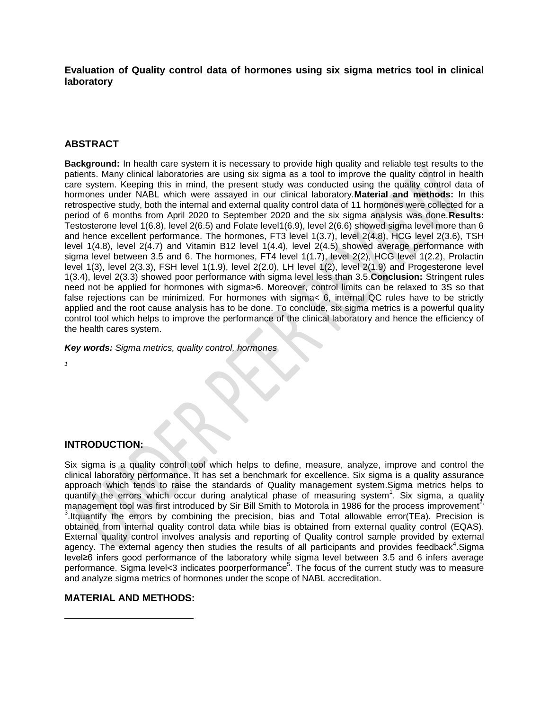**Evaluation of Quality control data of hormones using six sigma metrics tool in clinical laboratory**

# **ABSTRACT**

**Background:** In health care system it is necessary to provide high quality and reliable test results to the patients. Many clinical laboratories are using six sigma as a tool to improve the quality control in health care system. Keeping this in mind, the present study was conducted using the quality control data of hormones under NABL which were assayed in our clinical laboratory.**Material and methods:** In this retrospective study, both the internal and external quality control data of 11 hormones were collected for a period of 6 months from April 2020 to September 2020 and the six sigma analysis was done.**Results:**  Testosterone level 1(6.8), level 2(6.5) and Folate level1(6.9), level 2(6.6) showed sigma level more than 6 and hence excellent performance. The hormones, FT3 level 1(3.7), level 2(4.8), HCG level 2(3.6), TSH level 1(4.8), level 2(4.7) and Vitamin B12 level 1(4.4), level 2(4.5) showed average performance with sigma level between 3.5 and 6. The hormones, FT4 level 1(1.7), level 2(2), HCG level 1(2.2), Prolactin level 1(3), level 2(3.3), FSH level 1(1.9), level 2(2.0), LH level 1(2), level 2(1.9) and Progesterone level 1(3.4), level 2(3.3) showed poor performance with sigma level less than 3.5.**Conclusion:** Stringent rules need not be applied for hormones with sigma>6. Moreover, control limits can be relaxed to 3S so that false rejections can be minimized. For hormones with sigma< 6, internal QC rules have to be strictly applied and the root cause analysis has to be done. To conclude, six sigma metrics is a powerful quality control tool which helps to improve the performance of the clinical laboratory and hence the efficiency of the health cares system.

*Key words: Sigma metrics, quality control, hormones*

*1*

 $\overline{a}$ 

# **INTRODUCTION:**

Six sigma is a quality control tool which helps to define, measure, analyze, improve and control the clinical laboratory performance. It has set a benchmark for excellence. Six sigma is a quality assurance approach which tends to raise the standards of Quality management system.Sigma metrics helps to quantify the errors which occur during analytical phase of measuring system<sup>1</sup>. Six sigma, a quality management tool was first introduced by Sir Bill Smith to Motorola in 1986 for the process improvement<sup>2</sup>  $3.1$ tquantify the errors by combining the precision, bias and Total allowable error(TEa). Precision is obtained from internal quality control data while bias is obtained from external quality control (EQAS). External quality control involves analysis and reporting of Quality control sample provided by external agency. The external agency then studies the results of all participants and provides feedback<sup>4</sup>. Sigma level≥6 infers good performance of the laboratory while sigma level between 3.5 and 6 infers average performance. Sigma level<3 indicates poorperformance<sup>5</sup>. The focus of the current study was to measure and analyze sigma metrics of hormones under the scope of NABL accreditation.

# **MATERIAL AND METHODS:**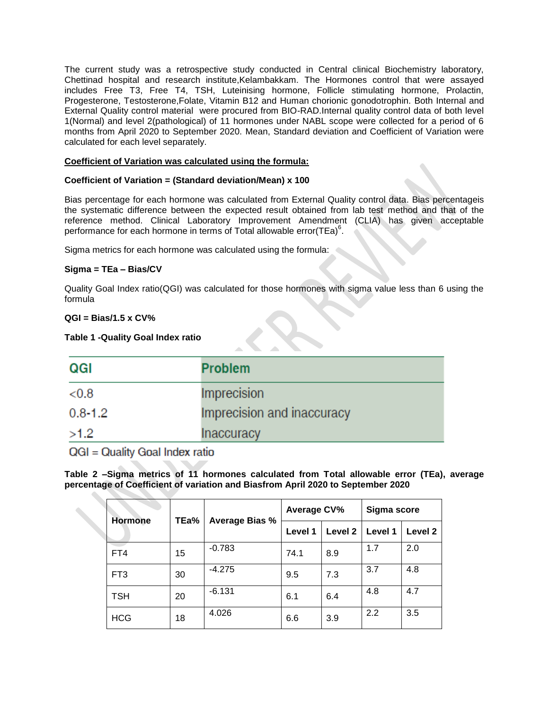The current study was a retrospective study conducted in Central clinical Biochemistry laboratory, Chettinad hospital and research institute,Kelambakkam. The Hormones control that were assayed includes Free T3, Free T4, TSH, Luteinising hormone, Follicle stimulating hormone, Prolactin, Progesterone, Testosterone,Folate, Vitamin B12 and Human chorionic gonodotrophin. Both Internal and External Quality control material were procured from BIO-RAD.Internal quality control data of both level 1(Normal) and level 2(pathological) of 11 hormones under NABL scope were collected for a period of 6 months from April 2020 to September 2020. Mean, Standard deviation and Coefficient of Variation were calculated for each level separately.

## **Coefficient of Variation was calculated using the formula:**

## **Coefficient of Variation = (Standard deviation/Mean) x 100**

Bias percentage for each hormone was calculated from External Quality control data. Bias percentageis the systematic difference between the expected result obtained from lab test method and that of the reference method. Clinical Laboratory Improvement Amendment (CLIA) has given acceptable performance for each hormone in terms of Total allowable error(TEa) $^6$ .

Sigma metrics for each hormone was calculated using the formula:

## **Sigma = TEa – Bias/CV**

Quality Goal Index ratio(QGI) was calculated for those hormones with sigma value less than 6 using the formula

## **QGI = Bias/1.5 x CV%**

#### **Table 1 -Quality Goal Index ratio**

| QGI         | <b>Problem</b>             |  |  |
|-------------|----------------------------|--|--|
| < 0.8       | Imprecision                |  |  |
| $0.8 - 1.2$ | Imprecision and inaccuracy |  |  |
| >1.2        | Inaccuracy                 |  |  |

 $QGI = Quality$  Goal Index ratio

**Table 2 –Sigma metrics of 11 hormones calculated from Total allowable error (TEa), average percentage of Coefficient of variation and Biasfrom April 2020 to September 2020**

| <b>Hormone</b>  | TEa% | Average Bias % | <b>Average CV%</b> |         | Sigma score |         |
|-----------------|------|----------------|--------------------|---------|-------------|---------|
|                 |      |                | Level 1            | Level 2 | Level 1     | Level 2 |
| FT4             | 15   | $-0.783$       | 74.1               | 8.9     | 1.7         | 2.0     |
| FT <sub>3</sub> | 30   | $-4.275$       | 9.5                | 7.3     | 3.7         | 4.8     |
| TSH             | 20   | $-6.131$       | 6.1                | 6.4     | 4.8         | 4.7     |
| <b>HCG</b>      | 18   | 4.026          | 6.6                | 3.9     | 2.2         | 3.5     |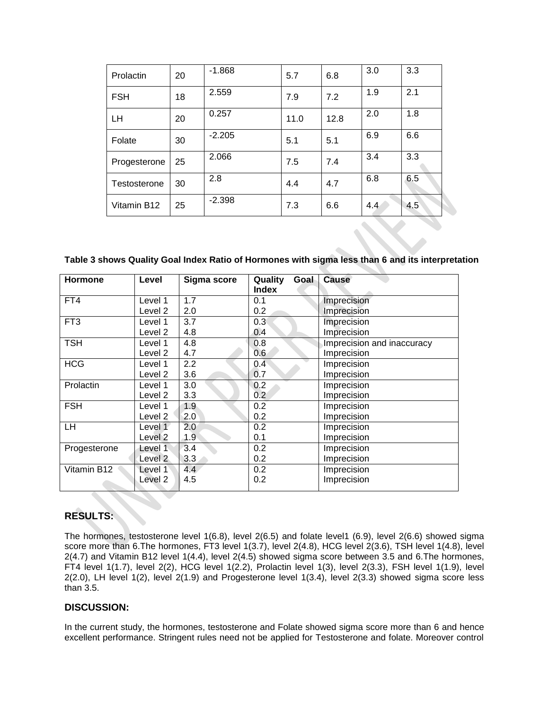| Prolactin    | 20 | $-1.868$ | 5.7  | 6.8  | 3.0 | 3.3 |
|--------------|----|----------|------|------|-----|-----|
| <b>FSH</b>   | 18 | 2.559    | 7.9  | 7.2  | 1.9 | 2.1 |
| LH           | 20 | 0.257    | 11.0 | 12.8 | 2.0 | 1.8 |
| Folate       | 30 | $-2.205$ | 5.1  | 5.1  | 6.9 | 6.6 |
| Progesterone | 25 | 2.066    | 7.5  | 7.4  | 3.4 | 3.3 |
| Testosterone | 30 | 2.8      | 4.4  | 4.7  | 6.8 | 6.5 |
| Vitamin B12  | 25 | $-2.398$ | 7.3  | 6.6  | 4.4 | 4.5 |

**Table 3 shows Quality Goal Index Ratio of Hormones with sigma less than 6 and its interpretation**

| <b>Hormone</b>  | Level   | Sigma score      | Quality<br>Goal<br><b>Index</b> | <b>Cause</b>               |
|-----------------|---------|------------------|---------------------------------|----------------------------|
| FT4             | Level 1 | 1.7              | 0.1                             | Imprecision                |
|                 | Level 2 | 2.0              | 0.2                             | Imprecision                |
| FT <sub>3</sub> | Level 1 | 3.7              | 0.3                             | Imprecision                |
|                 | Level 2 | 4.8              | 0.4                             | Imprecision                |
| <b>TSH</b>      | Level 1 | 4.8              | 0.8                             | Imprecision and inaccuracy |
|                 | Level 2 | 4.7              | 0.6                             | Imprecision                |
| <b>HCG</b>      | Level 1 | 2.2              | 0.4                             | Imprecision                |
|                 | Level 2 | 3.6              | 0.7                             | Imprecision                |
| Prolactin       | Level 1 | 3.0              | 0.2                             | Imprecision                |
|                 | Level 2 | 3.3              | 0.2                             | Imprecision                |
| <b>FSH</b>      | Level 1 | 1.9              | 0.2                             | Imprecision                |
|                 | Level 2 | 2.0              | 0.2                             | Imprecision                |
| LH              | Level 1 | 2.0 <sub>2</sub> | 0.2                             | Imprecision                |
|                 | Level 2 | 1.9              | 0.1                             | Imprecision                |
| Progesterone    | Level 1 | 3.4              | 0.2                             | Imprecision                |
|                 | Level 2 | 3.3              | 0.2                             | Imprecision                |
| Vitamin B12     | Level 1 | 4.4              | 0.2                             | Imprecision                |
|                 | Level 2 | 4.5              | 0.2                             | Imprecision                |

# **RESULTS:**

The hormones, testosterone level 1(6.8), level 2(6.5) and folate level1 (6.9), level 2(6.6) showed sigma score more than 6.The hormones, FT3 level 1(3.7), level 2(4.8), HCG level 2(3.6), TSH level 1(4.8), level 2(4.7) and Vitamin B12 level 1(4.4), level 2(4.5) showed sigma score between 3.5 and 6.The hormones, FT4 level 1(1.7), level 2(2), HCG level 1(2.2), Prolactin level 1(3), level 2(3.3), FSH level 1(1.9), level 2(2.0), LH level 1(2), level 2(1.9) and Progesterone level 1(3.4), level 2(3.3) showed sigma score less than 3.5.

# **DISCUSSION:**

In the current study, the hormones, testosterone and Folate showed sigma score more than 6 and hence excellent performance. Stringent rules need not be applied for Testosterone and folate. Moreover control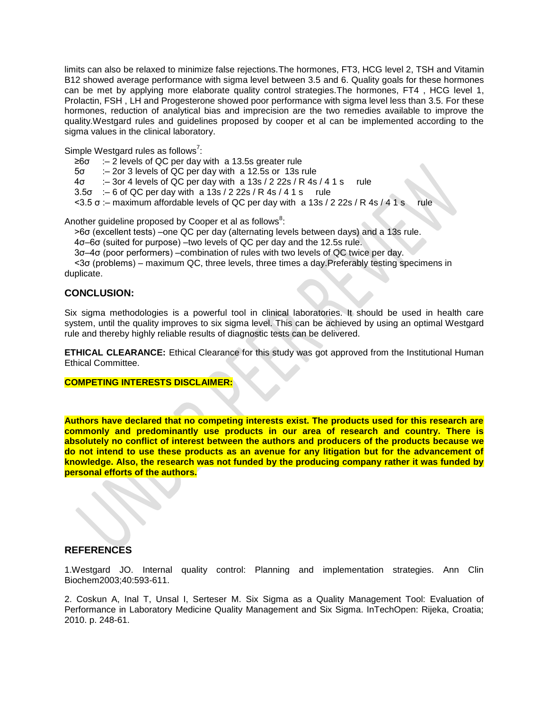limits can also be relaxed to minimize false rejections.The hormones, FT3, HCG level 2, TSH and Vitamin B12 showed average performance with sigma level between 3.5 and 6. Quality goals for these hormones can be met by applying more elaborate quality control strategies.The hormones, FT4 , HCG level 1, Prolactin, FSH , LH and Progesterone showed poor performance with sigma level less than 3.5. For these hormones, reduction of analytical bias and imprecision are the two remedies available to improve the quality.Westgard rules and guidelines proposed by cooper et al can be implemented according to the sigma values in the clinical laboratory.

Simple Westgard rules as follows<sup>7</sup>:

- ≥6σ :– 2 levels of QC per day with a 13.5s greater rule
- 5σ :– 2or 3 levels of QC per day with a 12.5s or 13s rule
- 4σ :– 3or 4 levels of QC per day with a 13s / 2 22s / R 4s / 4 1 s rule
- $3.5\sigma$  : 6 of QC per day with a 13s / 2 22s / R 4s / 4 1 s rule
- $<$ 3.5 σ : maximum affordable levels of QC per day with a 13s / 2 22s / R 4s / 4 1 s rule

Another guideline proposed by Cooper et al as follows ${}^{8}$ :

>6σ (excellent tests) –one QC per day (alternating levels between days) and a 13s rule.

4σ–6σ (suited for purpose) –two levels of QC per day and the 12.5s rule.

3σ–4σ (poor performers) –combination of rules with two levels of QC twice per day.

<3σ (problems) – maximum QC, three levels, three times a day.Preferably testing specimens in duplicate.

# **CONCLUSION:**

Six sigma methodologies is a powerful tool in clinical laboratories. It should be used in health care system, until the quality improves to six sigma level. This can be achieved by using an optimal Westgard rule and thereby highly reliable results of diagnostic tests can be delivered.

**ETHICAL CLEARANCE:** Ethical Clearance for this study was got approved from the Institutional Human Ethical Committee.

#### **COMPETING INTERESTS DISCLAIMER:**

**Authors have declared that no competing interests exist. The products used for this research are commonly and predominantly use products in our area of research and country. There is absolutely no conflict of interest between the authors and producers of the products because we do not intend to use these products as an avenue for any litigation but for the advancement of knowledge. Also, the research was not funded by the producing company rather it was funded by personal efforts of the authors.**

# **REFERENCES**

1.Westgard JO. Internal quality control: Planning and implementation strategies. Ann Clin Biochem2003;40:593-611.

2. Coskun A, Inal T, Unsal I, Serteser M. Six Sigma as a Quality Management Tool: Evaluation of Performance in Laboratory Medicine Quality Management and Six Sigma. InTechOpen: Rijeka, Croatia; 2010. p. 248-61.